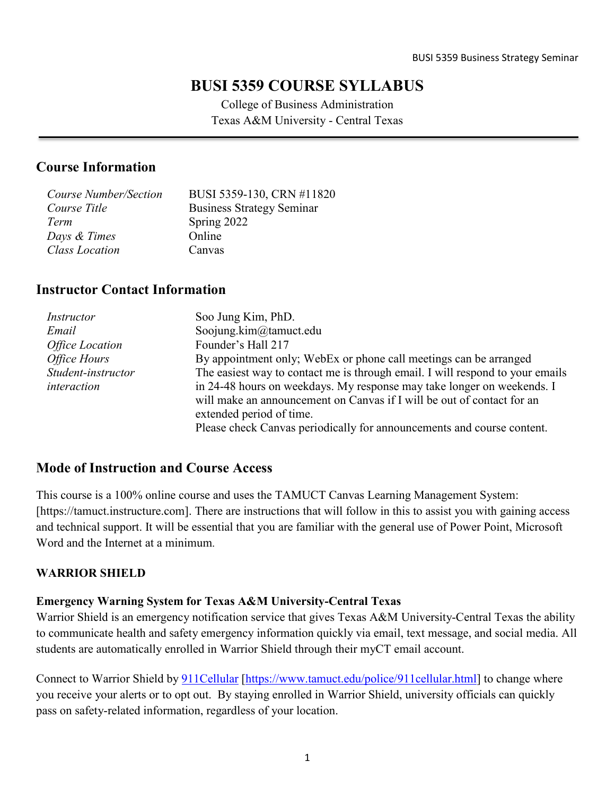# **BUSI 5359 COURSE SYLLABUS**

College of Business Administration Texas A&M University - Central Texas

# **Course Information**

| Course Number/Section | BUSI 5359-130, CRN #11820        |
|-----------------------|----------------------------------|
| Course Title          | <b>Business Strategy Seminar</b> |
| Term                  | Spring 2022                      |
| Days & Times          | Online                           |
| <b>Class Location</b> | Canvas                           |
|                       |                                  |

# **Instructor Contact Information**

| Instructor             | Soo Jung Kim, PhD.                                                            |
|------------------------|-------------------------------------------------------------------------------|
| Email                  | Soojung.kim@tamuct.edu                                                        |
| <b>Office Location</b> | Founder's Hall 217                                                            |
| Office Hours           | By appointment only; WebEx or phone call meetings can be arranged             |
| Student-instructor     | The easiest way to contact me is through email. I will respond to your emails |
| interaction            | in 24-48 hours on weekdays. My response may take longer on weekends. I        |
|                        | will make an announcement on Canvas if I will be out of contact for an        |
|                        | extended period of time.                                                      |
|                        | Please check Canvas periodically for announcements and course content.        |

# **Mode of Instruction and Course Access**

This course is a 100% online course and uses the TAMUCT Canvas Learning Management System: [https://tamuct.instructure.com]. There are instructions that will follow in this to assist you with gaining access and technical support. It will be essential that you are familiar with the general use of Power Point, Microsoft Word and the Internet at a minimum.

### **WARRIOR SHIELD**

### **Emergency Warning System for Texas A&M University-Central Texas**

Warrior Shield is an emergency notification service that gives Texas A&M University-Central Texas the ability to communicate health and safety emergency information quickly via email, text message, and social media. All students are automatically enrolled in Warrior Shield through their myCT email account.

Connect to Warrior Shield by **911Cellular** [\[https://www.tamuct.edu/police/911cellular.html\]](https://www.tamuct.edu/police/911cellular.html) to change where you receive your alerts or to opt out. By staying enrolled in Warrior Shield, university officials can quickly pass on safety-related information, regardless of your location.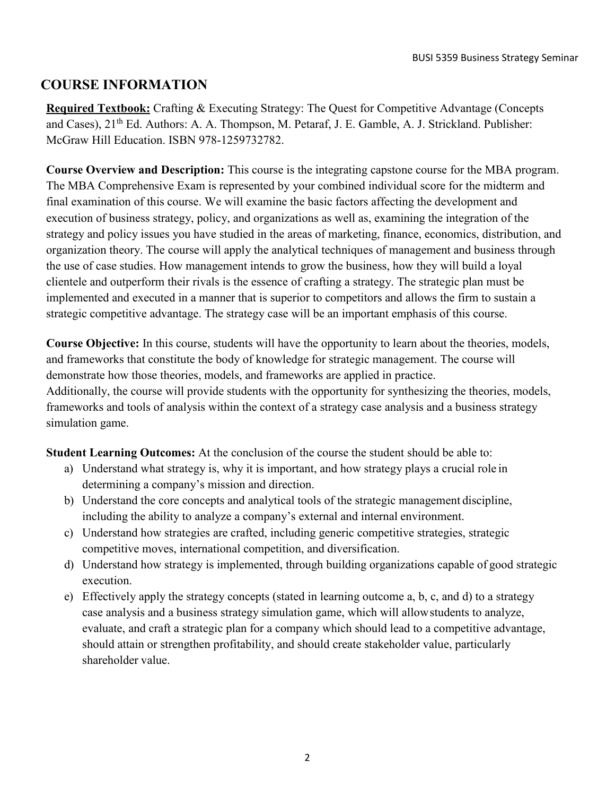# **COURSE INFORMATION**

**Required Textbook:** Crafting & Executing Strategy: The Quest for Competitive Advantage (Concepts and Cases), 21<sup>th</sup> Ed. Authors: A. A. Thompson, M. Petaraf, J. E. Gamble, A. J. Strickland. Publisher: McGraw Hill Education. ISBN 978-1259732782.

**Course Overview and Description:** This course is the integrating capstone course for the MBA program. The MBA Comprehensive Exam is represented by your combined individual score for the midterm and final examination of this course. We will examine the basic factors affecting the development and execution of business strategy, policy, and organizations as well as, examining the integration of the strategy and policy issues you have studied in the areas of marketing, finance, economics, distribution, and organization theory. The course will apply the analytical techniques of management and business through the use of case studies. How management intends to grow the business, how they will build a loyal clientele and outperform their rivals is the essence of crafting a strategy. The strategic plan must be implemented and executed in a manner that is superior to competitors and allows the firm to sustain a strategic competitive advantage. The strategy case will be an important emphasis of this course.

**Course Objective:** In this course, students will have the opportunity to learn about the theories, models, and frameworks that constitute the body of knowledge for strategic management. The course will demonstrate how those theories, models, and frameworks are applied in practice. Additionally, the course will provide students with the opportunity for synthesizing the theories, models, frameworks and tools of analysis within the context of a strategy case analysis and a business strategy simulation game.

**Student Learning Outcomes:** At the conclusion of the course the student should be able to:

- a) Understand what strategy is, why it is important, and how strategy plays a crucial role in determining a company's mission and direction.
- b) Understand the core concepts and analytical tools of the strategic management discipline, including the ability to analyze a company's external and internal environment.
- c) Understand how strategies are crafted, including generic competitive strategies, strategic competitive moves, international competition, and diversification.
- d) Understand how strategy is implemented, through building organizations capable of good strategic execution.
- e) Effectively apply the strategy concepts (stated in learning outcome a, b, c, and d) to a strategy case analysis and a business strategy simulation game, which will allowstudents to analyze, evaluate, and craft a strategic plan for a company which should lead to a competitive advantage, should attain or strengthen profitability, and should create stakeholder value, particularly shareholder value.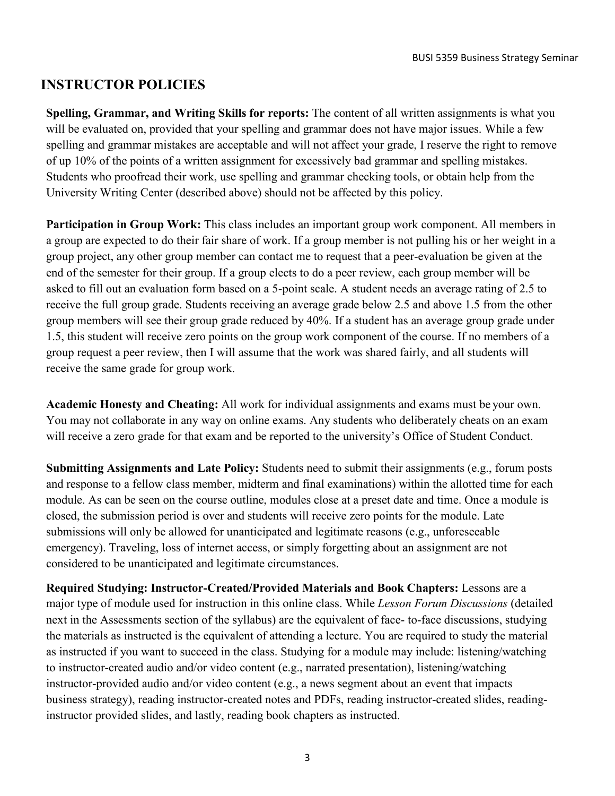# **INSTRUCTOR POLICIES**

**Spelling, Grammar, and Writing Skills for reports:** The content of all written assignments is what you will be evaluated on, provided that your spelling and grammar does not have major issues. While a few spelling and grammar mistakes are acceptable and will not affect your grade, I reserve the right to remove of up 10% of the points of a written assignment for excessively bad grammar and spelling mistakes. Students who proofread their work, use spelling and grammar checking tools, or obtain help from the University Writing Center (described above) should not be affected by this policy.

**Participation in Group Work:** This class includes an important group work component. All members in a group are expected to do their fair share of work. If a group member is not pulling his or her weight in a group project, any other group member can contact me to request that a peer-evaluation be given at the end of the semester for their group. If a group elects to do a peer review, each group member will be asked to fill out an evaluation form based on a 5-point scale. A student needs an average rating of 2.5 to receive the full group grade. Students receiving an average grade below 2.5 and above 1.5 from the other group members will see their group grade reduced by 40%. If a student has an average group grade under 1.5, this student will receive zero points on the group work component of the course. If no members of a group request a peer review, then I will assume that the work was shared fairly, and all students will receive the same grade for group work.

**Academic Honesty and Cheating:** All work for individual assignments and exams must be your own. You may not collaborate in any way on online exams. Any students who deliberately cheats on an exam will receive a zero grade for that exam and be reported to the university's Office of Student Conduct.

**Submitting Assignments and Late Policy:** Students need to submit their assignments (e.g., forum posts and response to a fellow class member, midterm and final examinations) within the allotted time for each module. As can be seen on the course outline, modules close at a preset date and time. Once a module is closed, the submission period is over and students will receive zero points for the module. Late submissions will only be allowed for unanticipated and legitimate reasons (e.g., unforeseeable emergency). Traveling, loss of internet access, or simply forgetting about an assignment are not considered to be unanticipated and legitimate circumstances.

**Required Studying: Instructor-Created/Provided Materials and Book Chapters:** Lessons are a major type of module used for instruction in this online class. While *Lesson Forum Discussions* (detailed next in the Assessments section of the syllabus) are the equivalent of face- to-face discussions, studying the materials as instructed is the equivalent of attending a lecture. You are required to study the material as instructed if you want to succeed in the class. Studying for a module may include: listening/watching to instructor-created audio and/or video content (e.g., narrated presentation), listening/watching instructor-provided audio and/or video content (e.g., a news segment about an event that impacts business strategy), reading instructor-created notes and PDFs, reading instructor-created slides, readinginstructor provided slides, and lastly, reading book chapters as instructed.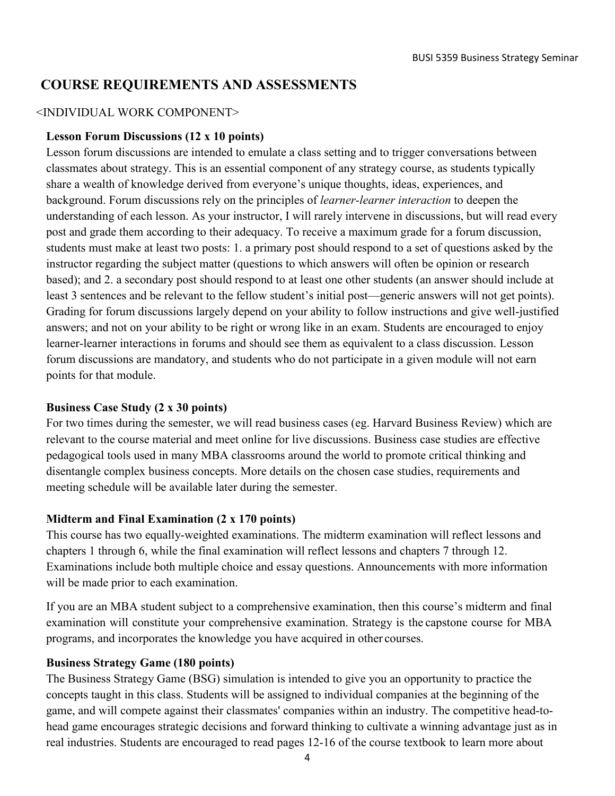# **COURSE REQUIREMENTS AND ASSESSMENTS**

#### <INDIVIDUAL WORK COMPONENT>

#### **Lesson Forum Discussions (12 x 10 points)**

Lesson forum discussions are intended to emulate a class setting and to trigger conversations between classmates about strategy. This is an essential component of any strategy course, as students typically share a wealth of knowledge derived from everyone's unique thoughts, ideas, experiences, and background. Forum discussions rely on the principles of *learner-learner interaction* to deepen the understanding of each lesson. As your instructor, I will rarely intervene in discussions, but will read every post and grade them according to their adequacy. To receive a maximum grade for a forum discussion, students must make at least two posts: 1. a primary post should respond to a set of questions asked by the instructor regarding the subject matter (questions to which answers will often be opinion or research based); and 2. a secondary post should respond to at least one other students (an answer should include at least 3 sentences and be relevant to the fellow student's initial post—generic answers will not get points). Grading for forum discussions largely depend on your ability to follow instructions and give well-justified answers; and not on your ability to be right or wrong like in an exam. Students are encouraged to enjoy learner-learner interactions in forums and should see them as equivalent to a class discussion. Lesson forum discussions are mandatory, and students who do not participate in a given module will not earn points for that module.

#### **Business Case Study (2 x 30 points)**

For two times during the semester, we will read business cases (eg. Harvard Business Review) which are relevant to the course material and meet online for live discussions. Business case studies are effective pedagogical tools used in many MBA classrooms around the world to promote critical thinking and disentangle complex business concepts. More details on the chosen case studies, requirements and meeting schedule will be available later during the semester.

### **Midterm and Final Examination (2 x 170 points)**

This course has two equally-weighted examinations. The midterm examination will reflect lessons and chapters 1 through 6, while the final examination will reflect lessons and chapters 7 through 12. Examinations include both multiple choice and essay questions. Announcements with more information will be made prior to each examination.

If you are an MBA student subject to a comprehensive examination, then this course's midterm and final examination will constitute your comprehensive examination. Strategy is the capstone course for MBA programs, and incorporates the knowledge you have acquired in other courses.

### **Business Strategy Game (180 points)**

The Business Strategy Game (BSG) simulation is intended to give you an opportunity to practice the concepts taught in this class. Students will be assigned to individual companies at the beginning of the game, and will compete against their classmates' companies within an industry. The competitive head-tohead game encourages strategic decisions and forward thinking to cultivate a winning advantage just as in real industries. Students are encouraged to read pages 12-16 of the course textbook to learn more about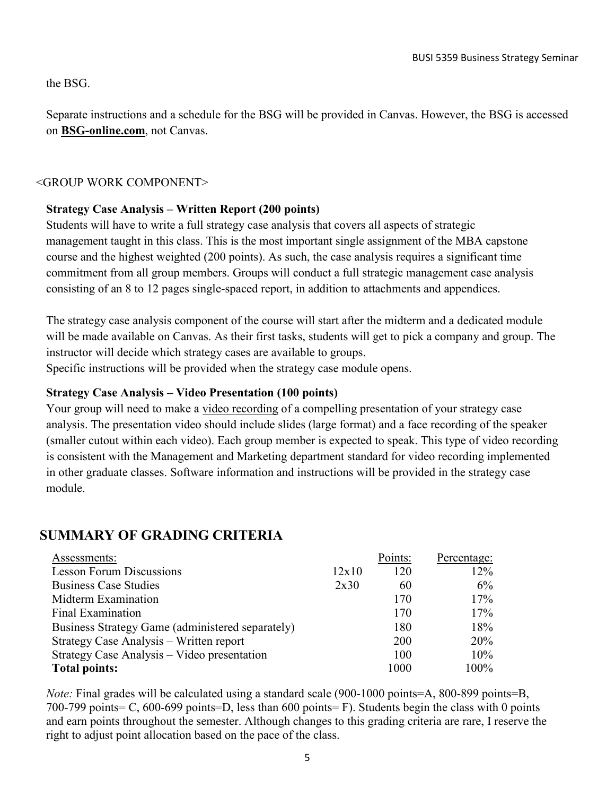the BSG.

Separate instructions and a schedule for the BSG will be provided in Canvas. However, the BSG is accessed on **BSG-online.com**, not Canvas.

## <GROUP WORK COMPONENT>

## **Strategy Case Analysis – Written Report (200 points)**

Students will have to write a full strategy case analysis that covers all aspects of strategic management taught in this class. This is the most important single assignment of the MBA capstone course and the highest weighted (200 points). As such, the case analysis requires a significant time commitment from all group members. Groups will conduct a full strategic management case analysis consisting of an 8 to 12 pages single-spaced report, in addition to attachments and appendices.

The strategy case analysis component of the course will start after the midterm and a dedicated module will be made available on Canvas. As their first tasks, students will get to pick a company and group. The instructor will decide which strategy cases are available to groups. Specific instructions will be provided when the strategy case module opens.

## **Strategy Case Analysis – Video Presentation (100 points)**

Your group will need to make a video recording of a compelling presentation of your strategy case analysis. The presentation video should include slides (large format) and a face recording of the speaker (smaller cutout within each video). Each group member is expected to speak. This type of video recording is consistent with the Management and Marketing department standard for video recording implemented in other graduate classes. Software information and instructions will be provided in the strategy case module.

# **SUMMARY OF GRADING CRITERIA**

| Assessments:                                     |       | Points: | Percentage: |
|--------------------------------------------------|-------|---------|-------------|
| <b>Lesson Forum Discussions</b>                  | 12x10 | 120     | 12%         |
| <b>Business Case Studies</b>                     | 2x30  | 60      | 6%          |
| Midterm Examination                              |       | 170     | 17%         |
| <b>Final Examination</b>                         |       | 170     | 17%         |
| Business Strategy Game (administered separately) |       | 180     | 18%         |
| Strategy Case Analysis - Written report          |       | 200     | 20%         |
| Strategy Case Analysis - Video presentation      |       | 100     | 10%         |
| <b>Total points:</b>                             |       | 1000    | 100%        |

*Note:* Final grades will be calculated using a standard scale (900-1000 points=A, 800-899 points=B, 700-799 points= C, 600-699 points=D, less than 600 points= F). Students begin the class with 0 points and earn points throughout the semester. Although changes to this grading criteria are rare, I reserve the right to adjust point allocation based on the pace of the class.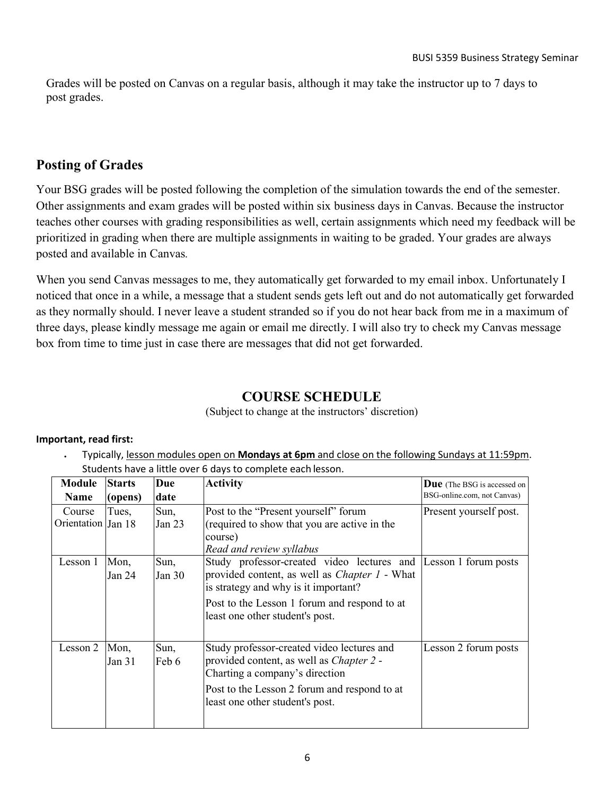Grades will be posted on Canvas on a regular basis, although it may take the instructor up to 7 days to post grades.

# **Posting of Grades**

Your BSG grades will be posted following the completion of the simulation towards the end of the semester. Other assignments and exam grades will be posted within six business days in Canvas. Because the instructor teaches other courses with grading responsibilities as well, certain assignments which need my feedback will be prioritized in grading when there are multiple assignments in waiting to be graded. Your grades are always posted and available in Canvas*.*

When you send Canvas messages to me, they automatically get forwarded to my email inbox. Unfortunately I noticed that once in a while, a message that a student sends gets left out and do not automatically get forwarded as they normally should. I never leave a student stranded so if you do not hear back from me in a maximum of three days, please kindly message me again or email me directly. I will also try to check my Canvas message box from time to time just in case there are messages that did not get forwarded.

# **COURSE SCHEDULE**

(Subject to change at the instructors' discretion)

#### **Important, read first:**

• Typically, lesson modules open on **Mondays at 6pm** and close on the following Sundays at 11:59pm. Students have a little over 6 days to complete each lesson.

| <b>Module</b>      | <b>Starts</b> | Due      | <b>Activity</b>                                                 | <b>Due</b> (The BSG is accessed on |
|--------------------|---------------|----------|-----------------------------------------------------------------|------------------------------------|
| <b>Name</b>        | (opens)       | date     |                                                                 | BSG-online.com, not Canvas)        |
| Course             | Tues,         | Sun,     | Post to the "Present yourself" forum                            | Present yourself post.             |
| Orientation Jan 18 |               | Jan 23   | (required to show that you are active in the                    |                                    |
|                    |               |          | course)                                                         |                                    |
|                    |               |          | Read and review syllabus                                        |                                    |
| Lesson 1           | Mon,          | Sun,     | Study professor-created video lectures and Lesson 1 forum posts |                                    |
|                    | Jan 24        | Jan $30$ | provided content, as well as <i>Chapter 1</i> - What            |                                    |
|                    |               |          | is strategy and why is it important?                            |                                    |
|                    |               |          | Post to the Lesson 1 forum and respond to at                    |                                    |
|                    |               |          | least one other student's post.                                 |                                    |
|                    |               |          |                                                                 |                                    |
| Lesson 2           | Mon,          | Sun,     | Study professor-created video lectures and                      | Lesson 2 forum posts               |
|                    | Jan 31        | Feb 6    | provided content, as well as <i>Chapter 2</i> -                 |                                    |
|                    |               |          | Charting a company's direction                                  |                                    |
|                    |               |          | Post to the Lesson 2 forum and respond to at                    |                                    |
|                    |               |          | least one other student's post.                                 |                                    |
|                    |               |          |                                                                 |                                    |
|                    |               |          |                                                                 |                                    |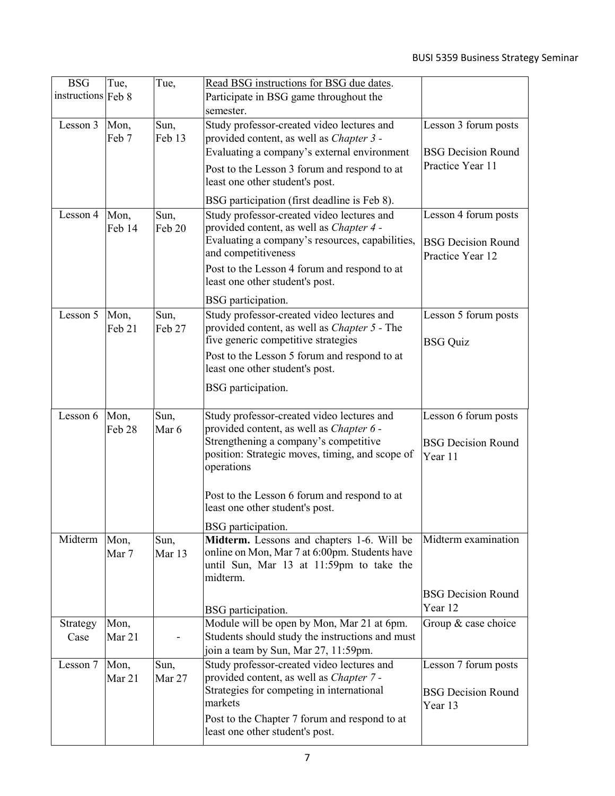| <b>BSG</b>         | Tue,   | Tue,   | Read BSG instructions for BSG due dates.                                                           |                           |
|--------------------|--------|--------|----------------------------------------------------------------------------------------------------|---------------------------|
| instructions Feb 8 |        |        | Participate in BSG game throughout the                                                             |                           |
|                    |        |        | semester.                                                                                          |                           |
| Lesson 3           | Mon,   | Sun,   | Study professor-created video lectures and                                                         | Lesson 3 forum posts      |
|                    | Feb 7  | Feb 13 | provided content, as well as <i>Chapter 3 -</i>                                                    |                           |
|                    |        |        | Evaluating a company's external environment                                                        | <b>BSG Decision Round</b> |
|                    |        |        | Post to the Lesson 3 forum and respond to at                                                       | Practice Year 11          |
|                    |        |        | least one other student's post.                                                                    |                           |
|                    |        |        |                                                                                                    |                           |
|                    |        |        | BSG participation (first deadline is Feb 8).                                                       |                           |
| Lesson 4           | Mon,   | Sun,   | Study professor-created video lectures and                                                         | Lesson 4 forum posts      |
|                    | Feb 14 | Feb 20 | provided content, as well as <i>Chapter 4 -</i><br>Evaluating a company's resources, capabilities, |                           |
|                    |        |        | and competitiveness                                                                                | <b>BSG Decision Round</b> |
|                    |        |        |                                                                                                    | Practice Year 12          |
|                    |        |        | Post to the Lesson 4 forum and respond to at<br>least one other student's post.                    |                           |
|                    |        |        |                                                                                                    |                           |
|                    |        |        | BSG participation.                                                                                 |                           |
| Lesson 5           | Mon,   | Sun,   | Study professor-created video lectures and                                                         | Lesson 5 forum posts      |
|                    | Feb 21 | Feb 27 | provided content, as well as <i>Chapter 5</i> - The                                                |                           |
|                    |        |        | five generic competitive strategies                                                                | <b>BSG</b> Quiz           |
|                    |        |        | Post to the Lesson 5 forum and respond to at                                                       |                           |
|                    |        |        | least one other student's post.                                                                    |                           |
|                    |        |        | BSG participation.                                                                                 |                           |
|                    |        |        |                                                                                                    |                           |
| Lesson 6           | Mon,   | Sun,   | Study professor-created video lectures and                                                         | Lesson 6 forum posts      |
|                    | Feb 28 | Mar 6  | provided content, as well as Chapter 6 -                                                           |                           |
|                    |        |        | Strengthening a company's competitive                                                              | <b>BSG Decision Round</b> |
|                    |        |        | position: Strategic moves, timing, and scope of                                                    | Year 11                   |
|                    |        |        | operations                                                                                         |                           |
|                    |        |        |                                                                                                    |                           |
|                    |        |        | Post to the Lesson 6 forum and respond to at<br>least one other student's post.                    |                           |
|                    |        |        |                                                                                                    |                           |
|                    |        |        | BSG participation.                                                                                 |                           |
| Midterm            | Mon,   | Sun,   | Midterm. Lessons and chapters 1-6. Will be                                                         | Midterm examination       |
|                    | Mar 7  | Mar 13 | online on Mon, Mar 7 at 6:00pm. Students have                                                      |                           |
|                    |        |        | until Sun, Mar 13 at 11:59pm to take the<br>midterm.                                               |                           |
|                    |        |        |                                                                                                    |                           |
|                    |        |        |                                                                                                    | <b>BSG Decision Round</b> |
|                    |        |        | BSG participation.                                                                                 | Year 12                   |
| Strategy           | Mon,   |        | Module will be open by Mon, Mar 21 at 6pm.                                                         | Group & case choice       |
| Case               | Mar 21 |        | Students should study the instructions and must                                                    |                           |
|                    |        |        | join a team by Sun, Mar 27, 11:59pm.                                                               |                           |
| Lesson 7           | Mon,   | Sun,   | Study professor-created video lectures and                                                         | Lesson 7 forum posts      |
|                    | Mar 21 | Mar 27 | provided content, as well as <i>Chapter</i> 7 -<br>Strategies for competing in international       |                           |
|                    |        |        | markets                                                                                            | <b>BSG Decision Round</b> |
|                    |        |        |                                                                                                    | Year 13                   |
|                    |        |        | Post to the Chapter 7 forum and respond to at<br>least one other student's post.                   |                           |
|                    |        |        |                                                                                                    |                           |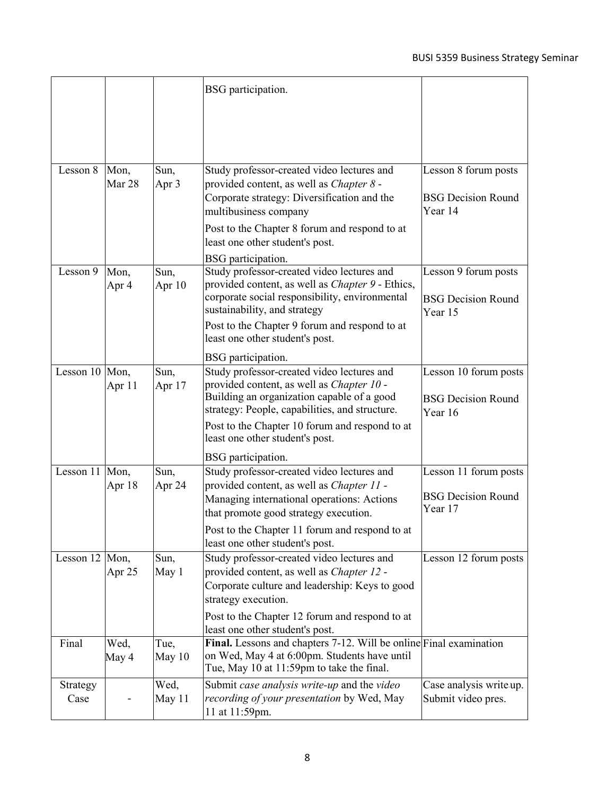| Lesson 8<br>Mon,<br>Sun,<br>Study professor-created video lectures and<br>Mar 28<br>Apr 3<br>provided content, as well as <i>Chapter 8</i> -<br>Corporate strategy: Diversification and the<br>Year 14<br>multibusiness company<br>Post to the Chapter 8 forum and respond to at | Lesson 8 forum posts<br><b>BSG Decision Round</b> |
|----------------------------------------------------------------------------------------------------------------------------------------------------------------------------------------------------------------------------------------------------------------------------------|---------------------------------------------------|
|                                                                                                                                                                                                                                                                                  |                                                   |
|                                                                                                                                                                                                                                                                                  |                                                   |
|                                                                                                                                                                                                                                                                                  |                                                   |
|                                                                                                                                                                                                                                                                                  |                                                   |
| least one other student's post.                                                                                                                                                                                                                                                  |                                                   |
| BSG participation.                                                                                                                                                                                                                                                               |                                                   |
| Study professor-created video lectures and<br>Lesson 9<br>Sun,<br>Mon,<br>provided content, as well as <i>Chapter</i> 9 - Ethics,<br>Apr 4<br>Apr 10<br>corporate social responsibility, environmental                                                                           | Lesson 9 forum posts<br><b>BSG Decision Round</b> |
| sustainability, and strategy<br>Year 15<br>Post to the Chapter 9 forum and respond to at<br>least one other student's post.                                                                                                                                                      |                                                   |
| BSG participation.                                                                                                                                                                                                                                                               |                                                   |
| Lesson 10 Mon,<br>Study professor-created video lectures and<br>Sun,<br>provided content, as well as Chapter 10 -<br>Apr 11<br>Apr 17                                                                                                                                            | Lesson 10 forum posts                             |
| Building an organization capable of a good<br>strategy: People, capabilities, and structure.<br>Year 16                                                                                                                                                                          | <b>BSG Decision Round</b>                         |
| Post to the Chapter 10 forum and respond to at<br>least one other student's post.                                                                                                                                                                                                |                                                   |
| BSG participation.                                                                                                                                                                                                                                                               |                                                   |
| Lesson 11 Mon,<br>Study professor-created video lectures and<br>Sun,                                                                                                                                                                                                             | Lesson 11 forum posts                             |
| Apr 18<br>Apr 24<br>provided content, as well as Chapter 11 -<br>Managing international operations: Actions<br>Year 17<br>that promote good strategy execution.                                                                                                                  | <b>BSG Decision Round</b>                         |
| Post to the Chapter 11 forum and respond to at<br>least one other student's post.                                                                                                                                                                                                |                                                   |
| Lesson 12 Mon,<br>Sun,<br>Study professor-created video lectures and                                                                                                                                                                                                             | Lesson 12 forum posts                             |
| May 1<br>provided content, as well as <i>Chapter 12 -</i><br>Apr 25<br>Corporate culture and leadership: Keys to good                                                                                                                                                            |                                                   |
| strategy execution.                                                                                                                                                                                                                                                              |                                                   |
| Post to the Chapter 12 forum and respond to at<br>least one other student's post.                                                                                                                                                                                                |                                                   |
| Final. Lessons and chapters 7-12. Will be online Final examination<br>Final<br>Wed,<br>Tue,<br>on Wed, May 4 at 6:00pm. Students have until<br>May 4<br>May $10$<br>Tue, May 10 at 11:59pm to take the final.                                                                    |                                                   |
| Wed,<br>Submit case analysis write-up and the video<br>Strategy<br>recording of your presentation by Wed, May<br>Case<br>May 11<br>11 at 11:59pm.                                                                                                                                | Case analysis write up.<br>Submit video pres.     |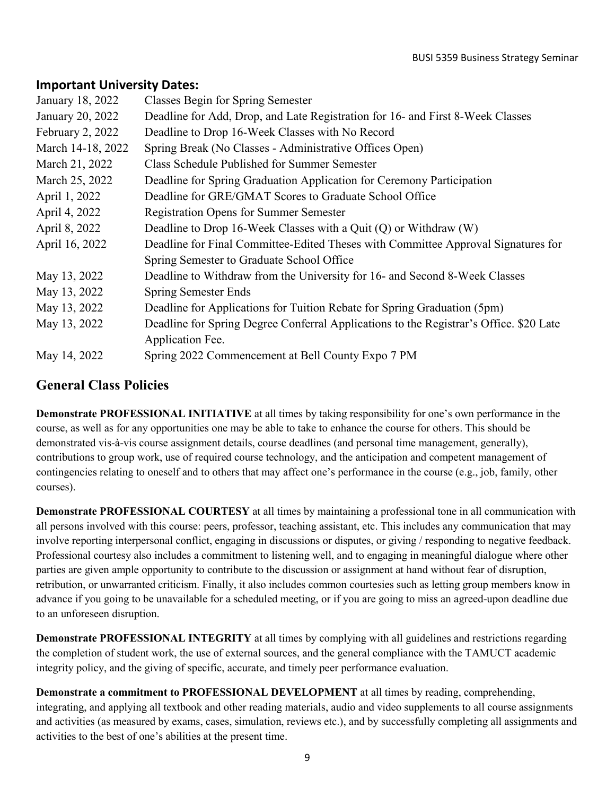# **Important University Dates:**

| January 18, 2022  | Classes Begin for Spring Semester                                                      |
|-------------------|----------------------------------------------------------------------------------------|
| January 20, 2022  | Deadline for Add, Drop, and Late Registration for 16- and First 8-Week Classes         |
| February 2, 2022  | Deadline to Drop 16-Week Classes with No Record                                        |
| March 14-18, 2022 | Spring Break (No Classes - Administrative Offices Open)                                |
| March 21, 2022    | Class Schedule Published for Summer Semester                                           |
| March 25, 2022    | Deadline for Spring Graduation Application for Ceremony Participation                  |
| April 1, 2022     | Deadline for GRE/GMAT Scores to Graduate School Office                                 |
| April 4, 2022     | <b>Registration Opens for Summer Semester</b>                                          |
| April 8, 2022     | Deadline to Drop 16-Week Classes with a Quit $(Q)$ or Withdraw $(W)$                   |
| April 16, 2022    | Deadline for Final Committee-Edited Theses with Committee Approval Signatures for      |
|                   | Spring Semester to Graduate School Office                                              |
| May 13, 2022      | Deadline to Withdraw from the University for 16- and Second 8-Week Classes             |
| May 13, 2022      | <b>Spring Semester Ends</b>                                                            |
| May 13, 2022      | Deadline for Applications for Tuition Rebate for Spring Graduation (5pm)               |
| May 13, 2022      | Deadline for Spring Degree Conferral Applications to the Registrar's Office. \$20 Late |
|                   | Application Fee.                                                                       |
| May 14, 2022      | Spring 2022 Commencement at Bell County Expo 7 PM                                      |

# **General Class Policies**

**Demonstrate PROFESSIONAL INITIATIVE** at all times by taking responsibility for one's own performance in the course, as well as for any opportunities one may be able to take to enhance the course for others. This should be demonstrated vis-à-vis course assignment details, course deadlines (and personal time management, generally), contributions to group work, use of required course technology, and the anticipation and competent management of contingencies relating to oneself and to others that may affect one's performance in the course (e.g., job, family, other courses).

**Demonstrate PROFESSIONAL COURTESY** at all times by maintaining a professional tone in all communication with all persons involved with this course: peers, professor, teaching assistant, etc. This includes any communication that may involve reporting interpersonal conflict, engaging in discussions or disputes, or giving / responding to negative feedback. Professional courtesy also includes a commitment to listening well, and to engaging in meaningful dialogue where other parties are given ample opportunity to contribute to the discussion or assignment at hand without fear of disruption, retribution, or unwarranted criticism. Finally, it also includes common courtesies such as letting group members know in advance if you going to be unavailable for a scheduled meeting, or if you are going to miss an agreed-upon deadline due to an unforeseen disruption.

**Demonstrate PROFESSIONAL INTEGRITY** at all times by complying with all guidelines and restrictions regarding the completion of student work, the use of external sources, and the general compliance with the TAMUCT academic integrity policy, and the giving of specific, accurate, and timely peer performance evaluation.

**Demonstrate a commitment to PROFESSIONAL DEVELOPMENT** at all times by reading, comprehending, integrating, and applying all textbook and other reading materials, audio and video supplements to all course assignments and activities (as measured by exams, cases, simulation, reviews etc.), and by successfully completing all assignments and activities to the best of one's abilities at the present time.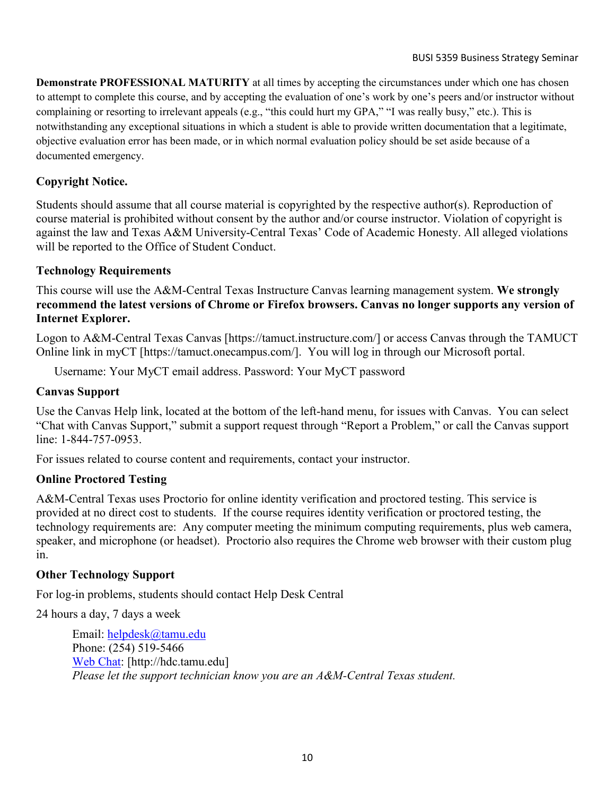**Demonstrate PROFESSIONAL MATURITY** at all times by accepting the circumstances under which one has chosen to attempt to complete this course, and by accepting the evaluation of one's work by one's peers and/or instructor without complaining or resorting to irrelevant appeals (e.g., "this could hurt my GPA," "I was really busy," etc.). This is notwithstanding any exceptional situations in which a student is able to provide written documentation that a legitimate, objective evaluation error has been made, or in which normal evaluation policy should be set aside because of a documented emergency.

## **Copyright Notice.**

Students should assume that all course material is copyrighted by the respective author(s). Reproduction of course material is prohibited without consent by the author and/or course instructor. Violation of copyright is against the law and Texas A&M University-Central Texas' Code of Academic Honesty. All alleged violations will be reported to the Office of Student Conduct.

### **Technology Requirements**

This course will use the A&M-Central Texas Instructure Canvas learning management system. **We strongly recommend the latest versions of Chrome or Firefox browsers. Canvas no longer supports any version of Internet Explorer.**

Logon to A&M-Central Texas Canvas [https://tamuct.instructure.com/] or access Canvas through the TAMUCT Online link in myCT [https://tamuct.onecampus.com/]. You will log in through our Microsoft portal.

Username: Your MyCT email address. Password: Your MyCT password

#### **Canvas Support**

Use the Canvas Help link, located at the bottom of the left-hand menu, for issues with Canvas. You can select "Chat with Canvas Support," submit a support request through "Report a Problem," or call the Canvas support line: 1-844-757-0953.

For issues related to course content and requirements, contact your instructor.

#### **Online Proctored Testing**

A&M-Central Texas uses Proctorio for online identity verification and proctored testing. This service is provided at no direct cost to students. If the course requires identity verification or proctored testing, the technology requirements are: Any computer meeting the minimum computing requirements, plus web camera, speaker, and microphone (or headset). Proctorio also requires the Chrome web browser with their custom plug in.

#### **Other Technology Support**

For log-in problems, students should contact Help Desk Central

24 hours a day, 7 days a week

Email: [helpdesk@tamu.edu](mailto:helpdesk@tamu.edu) Phone: (254) 519-5466 [Web Chat:](http://hdc.tamu.edu/) [http://hdc.tamu.edu] *Please let the support technician know you are an A&M-Central Texas student.*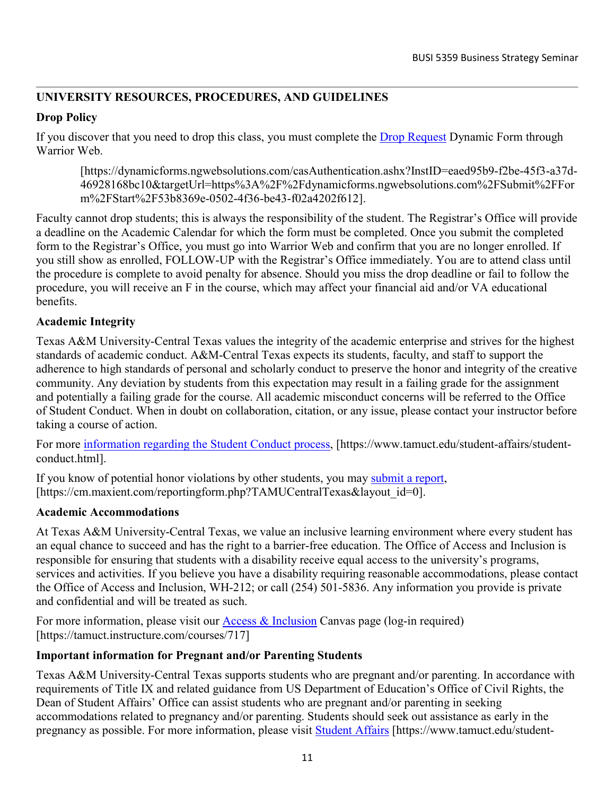# **UNIVERSITY RESOURCES, PROCEDURES, AND GUIDELINES**

## **Drop Policy**

If you discover that you need to drop this class, you must complete the [Drop Request](https://dynamicforms.ngwebsolutions.com/casAuthentication.ashx?InstID=eaed95b9-f2be-45f3-a37d-46928168bc10&targetUrl=https%3A%2F%2Fdynamicforms.ngwebsolutions.com%2FSubmit%2FForm%2FStart%2F53b8369e-0502-4f36-be43-f02a4202f612) Dynamic Form through Warrior Web.

[https://dynamicforms.ngwebsolutions.com/casAuthentication.ashx?InstID=eaed95b9-f2be-45f3-a37d-46928168bc10&targetUrl=https%3A%2F%2Fdynamicforms.ngwebsolutions.com%2FSubmit%2FFor m%2FStart%2F53b8369e-0502-4f36-be43-f02a4202f612].

Faculty cannot drop students; this is always the responsibility of the student. The Registrar's Office will provide a deadline on the Academic Calendar for which the form must be completed. Once you submit the completed form to the Registrar's Office, you must go into Warrior Web and confirm that you are no longer enrolled. If you still show as enrolled, FOLLOW-UP with the Registrar's Office immediately. You are to attend class until the procedure is complete to avoid penalty for absence. Should you miss the drop deadline or fail to follow the procedure, you will receive an F in the course, which may affect your financial aid and/or VA educational benefits.

## **Academic Integrity**

Texas A&M University-Central Texas values the integrity of the academic enterprise and strives for the highest standards of academic conduct. A&M-Central Texas expects its students, faculty, and staff to support the adherence to high standards of personal and scholarly conduct to preserve the honor and integrity of the creative community. Any deviation by students from this expectation may result in a failing grade for the assignment and potentially a failing grade for the course. All academic misconduct concerns will be referred to the Office of Student Conduct. When in doubt on collaboration, citation, or any issue, please contact your instructor before taking a course of action.

For more [information](https://nam04.safelinks.protection.outlook.com/?url=https%3A%2F%2Fwww.tamuct.edu%2Fstudent-affairs%2Fstudent-conduct.html&data=04%7C01%7Clisa.bunkowski%40tamuct.edu%7Ccfb6e486f24745f53e1a08d910055cb2%7C9eed4e3000f744849ff193ad8005acec%7C0%7C0%7C637558437485252160%7CUnknown%7CTWFpbGZsb3d8eyJWIjoiMC4wLjAwMDAiLCJQIjoiV2luMzIiLCJBTiI6Ik1haWwiLCJXVCI6Mn0%3D%7C1000&sdata=yjftDEVHvLX%2FhM%2FcFU0B99krV1RgEWR%2BJ%2BhvtoR6TYk%3D&reserved=0) regarding the Student Conduct process, [https://www.tamuct.edu/student-affairs/studentconduct.html].

If you know of potential honor violations by other students, you may [submit](https://nam04.safelinks.protection.outlook.com/?url=https%3A%2F%2Fcm.maxient.com%2Freportingform.php%3FTAMUCentralTexas%26layout_id%3D0&data=04%7C01%7Clisa.bunkowski%40tamuct.edu%7Ccfb6e486f24745f53e1a08d910055cb2%7C9eed4e3000f744849ff193ad8005acec%7C0%7C0%7C637558437485262157%7CUnknown%7CTWFpbGZsb3d8eyJWIjoiMC4wLjAwMDAiLCJQIjoiV2luMzIiLCJBTiI6Ik1haWwiLCJXVCI6Mn0%3D%7C1000&sdata=CXGkOa6uPDPX1IMZ87z3aZDq2n91xfHKu4MMS43Ejjk%3D&reserved=0) a report, [https://cm.maxient.com/reportingform.php?TAMUCentralTexas&layout\_id=0].

### **Academic Accommodations**

At Texas A&M University-Central Texas, we value an inclusive learning environment where every student has an equal chance to succeed and has the right to a barrier-free education. The Office of Access and Inclusion is responsible for ensuring that students with a disability receive equal access to the university's programs, services and activities. If you believe you have a disability requiring reasonable accommodations, please contact the Office of Access and Inclusion, WH-212; or call (254) 501-5836. Any information you provide is private and confidential and will be treated as such.

For more information, please visit our [Access & Inclusion](https://tamuct.instructure.com/courses/717) Canvas page (log-in required) [https://tamuct.instructure.com/courses/717]

## **Important information for Pregnant and/or Parenting Students**

Texas A&M University-Central Texas supports students who are pregnant and/or parenting. In accordance with requirements of Title IX and related guidance from US Department of Education's Office of Civil Rights, the Dean of Student Affairs' Office can assist students who are pregnant and/or parenting in seeking accommodations related to pregnancy and/or parenting. Students should seek out assistance as early in the pregnancy as possible. For more information, please visit [Student Affairs](https://www.tamuct.edu/student-affairs/pregnant-and-parenting-students.html) [https://www.tamuct.edu/student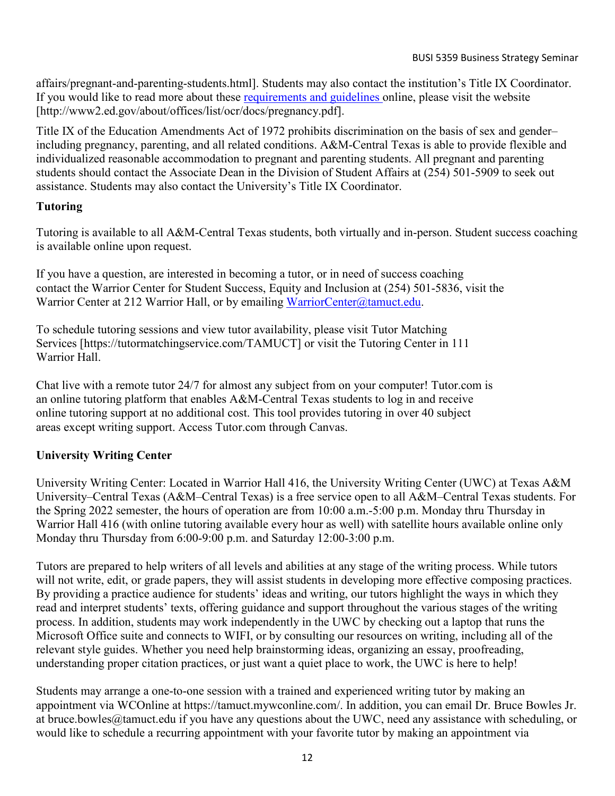affairs/pregnant-and-parenting-students.html]. Students may also contact the institution's Title IX Coordinator. If you would like to read more about these [requirements and guidelines](http://www2.ed.gov/about/offices/list/ocr/docs/pregnancy.pdf) online, please visit the website [http://www2.ed.gov/about/offices/list/ocr/docs/pregnancy.pdf].

Title IX of the Education Amendments Act of 1972 prohibits discrimination on the basis of sex and gender– including pregnancy, parenting, and all related conditions. A&M-Central Texas is able to provide flexible and individualized reasonable accommodation to pregnant and parenting students. All pregnant and parenting students should contact the Associate Dean in the Division of Student Affairs at (254) 501-5909 to seek out assistance. Students may also contact the University's Title IX Coordinator.

### **Tutoring**

Tutoring is available to all A&M-Central Texas students, both virtually and in-person. Student success coaching is available online upon request.

If you have a question, are interested in becoming a tutor, or in need of success coaching contact the Warrior Center for Student Success, Equity and Inclusion at (254) 501-5836, visit the Warrior Center at 212 Warrior Hall, or by emailing [WarriorCenter@tamuct.edu.](mailto:WarriorCenter@tamuct.edu)

To schedule tutoring sessions and view tutor availability, please visit Tutor Matching Services [https://tutormatchingservice.com/TAMUCT] or visit the Tutoring Center in 111 Warrior Hall.

Chat live with a remote tutor 24/7 for almost any subject from on your computer! Tutor.com is an online tutoring platform that enables A&M-Central Texas students to log in and receive online tutoring support at no additional cost. This tool provides tutoring in over 40 subject areas except writing support. Access Tutor.com through Canvas.

## **University Writing Center**

University Writing Center: Located in Warrior Hall 416, the University Writing Center (UWC) at Texas A&M University–Central Texas (A&M–Central Texas) is a free service open to all A&M–Central Texas students. For the Spring 2022 semester, the hours of operation are from 10:00 a.m.-5:00 p.m. Monday thru Thursday in Warrior Hall 416 (with online tutoring available every hour as well) with satellite hours available online only Monday thru Thursday from 6:00-9:00 p.m. and Saturday 12:00-3:00 p.m.

Tutors are prepared to help writers of all levels and abilities at any stage of the writing process. While tutors will not write, edit, or grade papers, they will assist students in developing more effective composing practices. By providing a practice audience for students' ideas and writing, our tutors highlight the ways in which they read and interpret students' texts, offering guidance and support throughout the various stages of the writing process. In addition, students may work independently in the UWC by checking out a laptop that runs the Microsoft Office suite and connects to WIFI, or by consulting our resources on writing, including all of the relevant style guides. Whether you need help brainstorming ideas, organizing an essay, proofreading, understanding proper citation practices, or just want a quiet place to work, the UWC is here to help!

Students may arrange a one-to-one session with a trained and experienced writing tutor by making an appointment via WCOnline at https://tamuct.mywconline.com/. In addition, you can email Dr. Bruce Bowles Jr. at bruce.bowles@tamuct.edu if you have any questions about the UWC, need any assistance with scheduling, or would like to schedule a recurring appointment with your favorite tutor by making an appointment via